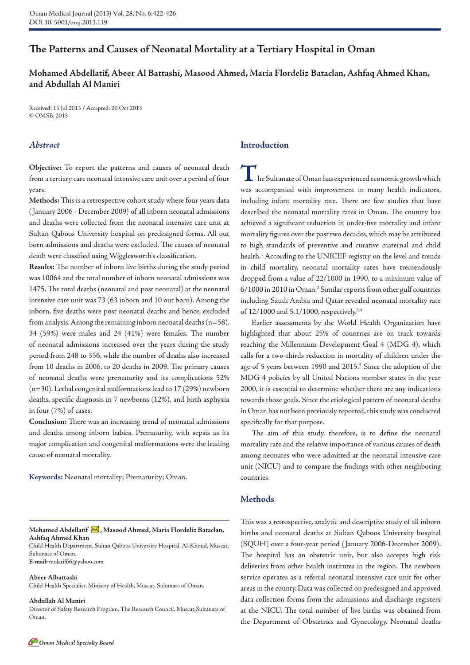# **The Patterns and Causes of Neonatal Mortality at a Tertiary Hospital in Oman**

# **Mohamed Abdellatif, Abeer Al Battashi, Masood Ahmed, Maria Flordeliz Bataclan, Ashfaq Ahmed Khan, and Abdullah Al Maniri**

Received: 15 Jul 2013 / Accepted: 20 Oct 2013 © OMSB, 2013

# *Abstract*

**Objective:** To report the patterns and causes of neonatal death from a tertiary care neonatal intensive care unit over a period of four years.

**Methods:** This is a retrospective cohort study where four years data ( January 2006 - December 2009) of all inborn neonatal admissions and deaths were collected from the neonatal intensive care unit at Sultan Qaboos University hospital on predesigned forms. All out born admissions and deaths were excluded. The causes of neonatal death were classified using Wigglesworth's classification.

**Results:** The number of inborn live births during the study period was 10064 and the total number of inborn neonatal admissions was 1475. The total deaths (neonatal and post neonatal) at the neonatal intensive care unit was 73 (63 inborn and 10 out born). Among the inborn, five deaths were post neonatal deaths and hence, excluded from analysis. Among the remaining inborn neonatal deaths (n=58), 34 (59%) were males and 24 (41%) were females. The number of neonatal admissions increased over the years during the study period from 248 to 356, while the number of deaths also increased from 10 deaths in 2006, to 20 deaths in 2009. The primary causes of neonatal deaths were prematurity and its complications 52% (n=30). Lethal congenital malformations lead to 17 (29%) newborn deaths, specific diagnosis in 7 newborns (12%), and birth asphyxia in four (7%) of cases.

**Conclusion:** There was an increasing trend of neonatal admissions and deaths among inborn babies. Prematurity, with sepsis as its major complication and congenital malformations were the leading cause of neonatal mortality.

**Keywords:** Neonatal mortality; Prematurity; Oman.

#### Mohamed Abdellatif X, Masood Ahmed, Maria Flordeliz Bataclan, **Ashfaq Ahmed Khan**

Child Health Department, Sultan Qaboos University Hospital, Al-Khoud, Muscat, Sultanate of Oman. **E-mail:** molatif66@yahoo.com

**Abeer Albattashi** Child Health Specialist, Ministry of Health, Muscat, Sultanate of Oman.

#### **Abdullah Al Maniri**

Director of Safety Research Program, The Research Council, Muscat,Sultanate of Oman.

# **Introduction**

**T**he Sultanate of Oman has experienced economic growth which was accompanied with improvement in many health indicators, including infant mortality rate. There are few studies that have described the neonatal mortality rates in Oman. The country has achieved a significant reduction in under-five mortality and infant mortality figures over the past two decades, which may be attributed to high standards of preventive and curative maternal and child health.<sup>1</sup> According to the UNICEF registry on the level and trends in child mortality, neonatal mortality rates have tremendously dropped from a value of 22/1000 in 1990, to a minimum value of 6/1000 in 2010 in Oman.2 Similar reports from other gulf countries including Saudi Arabia and Qatar revealed neonatal mortality rate of 12/1000 and 5.1/1000, respectively.<sup>3,4</sup>

Earlier assessments by the World Health Organization have highlighted that about 25% of countries are on track towards reaching the Millennium Development Goal 4 (MDG 4), which calls for a two-thirds reduction in mortality of children under the age of 5 years between 1990 and 2015.<sup>5</sup> Since the adoption of the MDG 4 policies by all United Nations member states in the year 2000, it is essential to determine whether there are any indications towards those goals. Since the etiological pattern of neonatal deaths in Oman has not been previously reported, this study was conducted specifically for that purpose.

The aim of this study, therefore, is to define the neonatal mortality rate and the relative importance of various causes of death among neonates who were admitted at the neonatal intensive care unit (NICU) and to compare the findings with other neighboring countries.

# **Methods**

This was a retrospective, analytic and descriptive study of all inborn births and neonatal deaths at Sultan Qaboos University hospital (SQUH) over a four-year period ( January 2006-December 2009). The hospital has an obstetric unit, but also accepts high risk deliveries from other health institutes in the region. The newborn service operates as a referral neonatal intensive care unit for other areas in the county. Data was collected on predesigned and approved data collection forms from the admissions and discharge registers at the NICU. The total number of live births was obtained from the Department of Obstetrics and Gynecology. Neonatal deaths

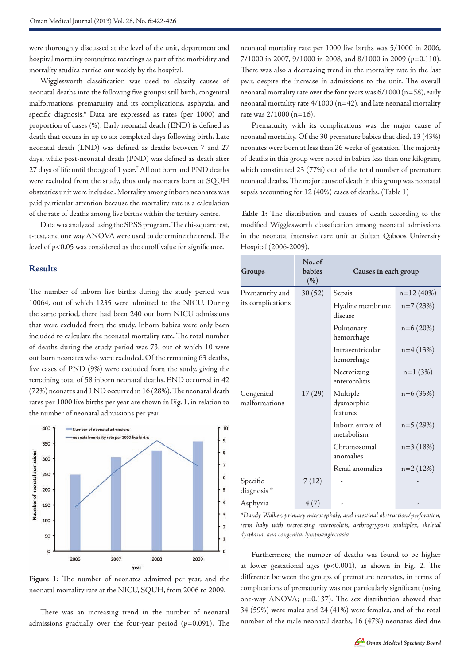were thoroughly discussed at the level of the unit, department and hospital mortality committee meetings as part of the morbidity and mortality studies carried out weekly by the hospital.

Wigglesworth classification was used to classify causes of neonatal deaths into the following five groups: still birth, congenital malformations, prematurity and its complications, asphyxia, and specific diagnosis.6 Data are expressed as rates (per 1000) and proportion of cases (%). Early neonatal death (END) is defined as death that occurs in up to six completed days following birth. Late neonatal death (LND) was defined as deaths between 7 and 27 days, while post-neonatal death (PND) was defined as death after 27 days of life until the age of 1 year.<sup>7</sup> All out born and PND deaths were excluded from the study, thus only neonates born at SQUH obstetrics unit were included. Mortality among inborn neonates was paid particular attention because the mortality rate is a calculation of the rate of deaths among live births within the tertiary centre.

Data was analyzed using the SPSS program. The chi-square test, t-test, and one way ANOVA were used to determine the trend. The level of *p*<0.05 was considered as the cutoff value for significance.

# **Results**

The number of inborn live births during the study period was 10064, out of which 1235 were admitted to the NICU. During the same period, there had been 240 out born NICU admissions that were excluded from the study. Inborn babies were only been included to calculate the neonatal mortality rate. The total number of deaths during the study period was 73, out of which 10 were out born neonates who were excluded. Of the remaining 63 deaths, five cases of PND (9%) were excluded from the study, giving the remaining total of 58 inborn neonatal deaths. END occurred in 42 (72%) neonates and LND occurred in 16 (28%). The neonatal death rates per 1000 live births per year are shown in Fig. 1, in relation to the number of neonatal admissions per year.



**Figure 1:** The number of neonates admitted per year, and the neonatal mortality rate at the NICU, SQUH, from 2006 to 2009.

There was an increasing trend in the number of neonatal admissions gradually over the four-year period (*p*=0.091). The neonatal mortality rate per 1000 live births was 5/1000 in 2006, 7/1000 in 2007, 9/1000 in 2008, and 8/1000 in 2009 (*p*=0.110). There was also a decreasing trend in the mortality rate in the last year, despite the increase in admissions to the unit. The overall neonatal mortality rate over the four years was  $6/1000$  (n=58), early neonatal mortality rate  $4/1000$  (n=42), and late neonatal mortality rate was 2/1000 (n=16).

Prematurity with its complications was the major cause of neonatal mortality. Of the 30 premature babies that died, 13 (43%) neonates were born at less than 26 weeks of gestation. The majority of deaths in this group were noted in babies less than one kilogram, which constituted 23 (77%) out of the total number of premature neonatal deaths. The major cause of death in this group was neonatal sepsis accounting for 12 (40%) cases of deaths. (Table 1)

**Table 1:** The distribution and causes of death according to the modified Wigglesworth classification among neonatal admissions in the neonatal intensive care unit at Sultan Qaboos University Hospital (2006-2009).

| Groups                               | No. of<br>babies<br>(% ) | Causes in each group               |              |
|--------------------------------------|--------------------------|------------------------------------|--------------|
| Prematurity and<br>its complications | 30(52)                   | Sepsis                             | $n=12(40\%)$ |
|                                      |                          | Hyaline membrane<br>disease        | $n=7(23%)$   |
|                                      |                          | Pulmonary<br>hemorrhage            | $n=6(20%)$   |
|                                      |                          | Intraventricular<br>hemorrhage     | $n=4(13%)$   |
|                                      |                          | Necrotizing<br>enterocolitis       | $n=1$ (3%)   |
| Congenital<br>malformations          | 17(29)                   | Multiple<br>dysmorphic<br>features | $n=6(35%)$   |
|                                      |                          | Inborn errors of<br>metabolism     | $n=5(29%)$   |
|                                      |                          | Chromosomal<br>anomalies           | $n=3(18%)$   |
|                                      |                          | Renal anomalies                    | $n=2(12%)$   |
| Specific<br>diagnosis *              | 7(12)                    |                                    |              |
| Asphyxia                             | 4(7)                     |                                    |              |

*\*Dandy Walker, primary microcephaly, and intestinal obstruction/perforation, term baby with necrotizing enterocolitis, arthrogryposis multiplex, skeletal dysplasia, and congenital lymphangiectasia*

Furthermore, the number of deaths was found to be higher at lower gestational ages (*p*<0.001), as shown in Fig. 2. The difference between the groups of premature neonates, in terms of complications of prematurity was not particularly significant (using one-way ANOVA; *p*=0.137). The sex distribution showed that 34 (59%) were males and 24 (41%) were females, and of the total number of the male neonatal deaths, 16 (47%) neonates died due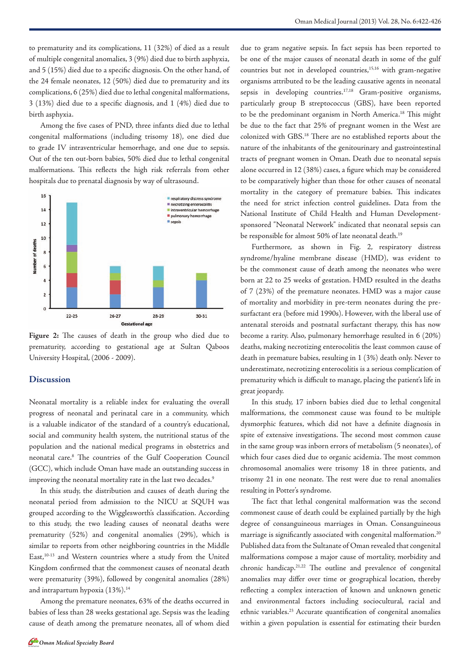Among the five cases of PND, three infants died due to lethal congenital malformations (including trisomy 18), one died due to grade IV intraventricular hemorrhage, and one due to sepsis. Out of the ten out-born babies, 50% died due to lethal congenital malformations. This reflects the high risk referrals from other hospitals due to prenatal diagnosis by way of ultrasound.



**Figure 2:** The causes of death in the group who died due to prematurity, according to gestational age at Sultan Qaboos University Hospital, (2006 - 2009).

## **Discussion**

Neonatal mortality is a reliable index for evaluating the overall progress of neonatal and perinatal care in a community, which is a valuable indicator of the standard of a country's educational, social and community health system, the nutritional status of the population and the national medical programs in obstetrics and neonatal care.8 The countries of the Gulf Cooperation Council (GCC), which include Oman have made an outstanding success in improving the neonatal mortality rate in the last two decades.<sup>9</sup>

In this study, the distribution and causes of death during the neonatal period from admission to the NICU at SQUH was grouped according to the Wigglesworth's classification. According to this study, the two leading causes of neonatal deaths were prematurity (52%) and congenital anomalies (29%), which is similar to reports from other neighboring countries in the Middle East,<sup>10-13</sup> and Western countries where a study from the United Kingdom confirmed that the commonest causes of neonatal death were prematurity (39%), followed by congenital anomalies (28%) and intrapartum hypoxia (13%).<sup>14</sup>

Among the premature neonates, 63% of the deaths occurred in babies of less than 28 weeks gestational age. Sepsis was the leading cause of death among the premature neonates, all of whom died

due to gram negative sepsis. In fact sepsis has been reported to be one of the major causes of neonatal death in some of the gulf countries but not in developed countries,<sup>15,16</sup> with gram-negative organisms attributed to be the leading causative agents in neonatal sepsis in developing countries.<sup>17,18</sup> Gram-positive organisms, particularly group B streptococcus (GBS), have been reported to be the predominant organism in North America.<sup>18</sup> This might be due to the fact that 25% of pregnant women in the West are colonized with GBS.18 There are no established reports about the nature of the inhabitants of the genitourinary and gastrointestinal tracts of pregnant women in Oman. Death due to neonatal sepsis alone occurred in 12 (38%) cases, a figure which may be considered to be comparatively higher than those for other causes of neonatal mortality in the category of premature babies. This indicates the need for strict infection control guidelines. Data from the National Institute of Child Health and Human Developmentsponsored "Neonatal Network" indicated that neonatal sepsis can be responsible for almost 50% of late neonatal death.19

Furthermore, as shown in Fig. 2, respiratory distress syndrome/hyaline membrane disease (HMD), was evident to be the commonest cause of death among the neonates who were born at 22 to 25 weeks of gestation. HMD resulted in the deaths of 7 (23%) of the premature neonates. HMD was a major cause of mortality and morbidity in pre-term neonates during the presurfactant era (before mid 1990s). However, with the liberal use of antenatal steroids and postnatal surfactant therapy, this has now become a rarity. Also, pulmonary hemorrhage resulted in 6 (20%) deaths, making necrotizing enterocolitis the least common cause of death in premature babies, resulting in 1 (3%) death only. Never to underestimate, necrotizing enterocolitis is a serious complication of prematurity which is difficult to manage, placing the patient's life in great jeopardy.

In this study, 17 inborn babies died due to lethal congenital malformations, the commonest cause was found to be multiple dysmorphic features, which did not have a definite diagnosis in spite of extensive investigations. The second most common cause in the same group was inborn errors of metabolism (5 neonates), of which four cases died due to organic acidemia. The most common chromosomal anomalies were trisomy 18 in three patients, and trisomy 21 in one neonate. The rest were due to renal anomalies resulting in Potter's syndrome.

The fact that lethal congenital malformation was the second commonest cause of death could be explained partially by the high degree of consanguineous marriages in Oman. Consanguineous marriage is significantly associated with congenital malformation.<sup>20</sup> Published data from the Sultanate of Oman revealed that congenital malformations compose a major cause of mortality, morbidity and chronic handicap.21,22 The outline and prevalence of congenital anomalies may differ over time or geographical location, thereby reflecting a complex interaction of known and unknown genetic and environmental factors including sociocultural, racial and ethnic variables.<sup>23</sup> Accurate quantification of congenital anomalies within a given population is essential for estimating their burden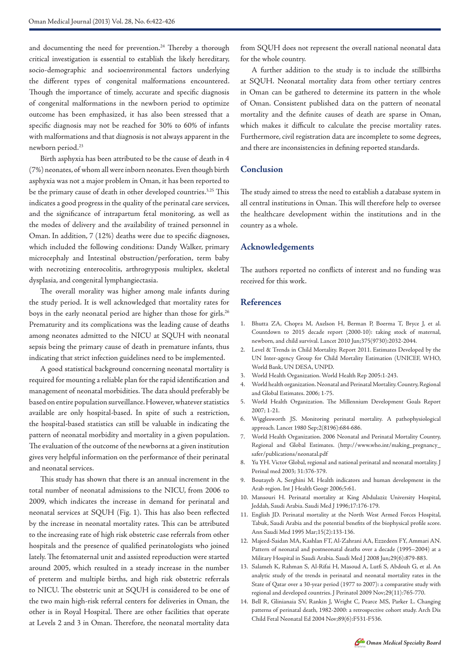and documenting the need for prevention.<sup>24</sup> Thereby a thorough critical investigation is essential to establish the likely hereditary, socio-demographic and socioenvironmental factors underlying the different types of congenital malformations encountered. Though the importance of timely, accurate and specific diagnosis of congenital malformations in the newborn period to optimize outcome has been emphasized, it has also been stressed that a specific diagnosis may not be reached for 30% to 60% of infants with malformations and that diagnosis is not always apparent in the newborn period.23

Birth asphyxia has been attributed to be the cause of death in 4 (7%) neonates, of whom all were inborn neonates. Even though birth asphyxia was not a major problem in Oman, it has been reported to be the primary cause of death in other developed countries.<sup>3,25</sup> This indicates a good progress in the quality of the perinatal care services, and the significance of intrapartum fetal monitoring, as well as the modes of delivery and the availability of trained personnel in Oman. In addition, 7 (12%) deaths were due to specific diagnoses, which included the following conditions: Dandy Walker, primary microcephaly and Intestinal obstruction/perforation, term baby with necrotizing enterocolitis, arthrogryposis multiplex, skeletal dysplasia, and congenital lymphangiectasia.

The overall morality was higher among male infants during the study period. It is well acknowledged that mortality rates for boys in the early neonatal period are higher than those for girls.<sup>26</sup> Prematurity and its complications was the leading cause of deaths among neonates admitted to the NICU at SQUH with neonatal sepsis being the primary cause of death in premature infants, thus indicating that strict infection guidelines need to be implemented.

A good statistical background concerning neonatal mortality is required for mounting a reliable plan for the rapid identification and management of neonatal morbidities. The data should preferably be based on entire population surveillance. However, whatever statistics available are only hospital-based. In spite of such a restriction, the hospital-based statistics can still be valuable in indicating the pattern of neonatal morbidity and mortality in a given population. The evaluation of the outcome of the newborns at a given institution gives very helpful information on the performance of their perinatal and neonatal services.

This study has shown that there is an annual increment in the total number of neonatal admissions to the NICU, from 2006 to 2009, which indicates the increase in demand for perinatal and neonatal services at SQUH (Fig. 1). This has also been reflected by the increase in neonatal mortality rates. This can be attributed to the increasing rate of high risk obstetric case referrals from other hospitals and the presence of qualified perinatologists who joined lately. The fetomaternal unit and assisted reproduction were started around 2005, which resulted in a steady increase in the number of preterm and multiple births, and high risk obstetric referrals to NICU. The obstetric unit at SQUH is considered to be one of the two main high-risk referral centers for deliveries in Oman, the other is in Royal Hospital. There are other facilities that operate at Levels 2 and 3 in Oman. Therefore, the neonatal mortality data from SQUH does not represent the overall national neonatal data for the whole country.

A further addition to the study is to include the stillbirths at SQUH. Neonatal mortality data from other tertiary centres in Oman can be gathered to determine its pattern in the whole of Oman. Consistent published data on the pattern of neonatal mortality and the definite causes of death are sparse in Oman, which makes it difficult to calculate the precise mortality rates. Furthermore, civil registration data are incomplete to some degrees, and there are inconsistencies in defining reported standards.

# **Conclusion**

The study aimed to stress the need to establish a database system in all central institutions in Oman. This will therefore help to oversee the healthcare development within the institutions and in the country as a whole.

## **Acknowledgements**

The authors reported no conflicts of interest and no funding was received for this work.

## **References**

- 1. Bhutta ZA, Chopra M, Axelson H, Berman P, Boerma T, Bryce J, et al. Countdown to 2015 decade report (2000-10): taking stock of maternal, newborn, and child survival. Lancet 2010 Jun;375(9730):2032-2044.
- 2. Level & Trends in Child Mortality. Report 2011. Estimates Developed by the UN Inter-agency Group for Child Mortality Estimation (UNICEF, WHO, World Bank, UN DESA, UNPD.
- 3. World Health Organization. World Health Rep 2005:1-243.
- 4. World health organization. Neonatal and Perinatal Mortality. Country, Regional and Global Estimates. 2006; 1-75.
- 5. World Health Organization. The Millennium Development Goals Report 2007; 1-21.
- 6. Wigglesworth JS. Monitoring perinatal mortality. A pathophysiological approach. Lancet 1980 Sep;2(8196):684-686.
- 7. World Health Organization. 2006 Neonatal and Perinatal Mortality Country, Regional and Global Estimates. (http://www.who.int/making\_pregnancy\_ safer/publications/neonatal.pdf
- 8. Yu YH. Victor Global, regional and national perinatal and neonatal mortality. J Perinal med 2003; 31:376-379.
- 9. Boutayeb A, Serghini M. Health indicators and human development in the Arab region. Int J Health Geogr 2006;5:61.
- 10. Mansouri H. Perinatal mortality at King Abdulaziz University Hospital, Jeddah, Saudi Arabia. Saudi Med J 1996;17:176-179.
- 11. English JD. Perinatal mortality at the North West Armed Forces Hospital, Tabuk, Saudi Arabia and the potential benefits of the biophysical profile score. Ann Saudi Med 1995 Mar;15(2):133-136.
- 12. Majeed-Saidan MA, Kashlan FT, Al-Zahrani AA, Ezzedeen FY, Ammari AN. Pattern of neonatal and postneonatal deaths over a decade (1995–2004) at a Military Hospital in Saudi Arabia. Saudi Med J 2008 Jun;29(6):879-883.
- 13. Salameh K, Rahman S, Al-Rifai H, Masoud A, Lutfi S, Abdouh G, et al. An analytic study of the trends in perinatal and neonatal mortality rates in the State of Qatar over a 30-year period (1977 to 2007): a comparative study with regional and developed countries. J Perinatol 2009 Nov;29(11):765-770.
- 14. Bell R, Glinianaia SV, Rankin J, Wright C, Pearce MS, Parker L. Changing patterns of perinatal death, 1982-2000: a retrospective cohort study. Arch Dis Child Fetal Neonatal Ed 2004 Nov;89(6):F531-F536.